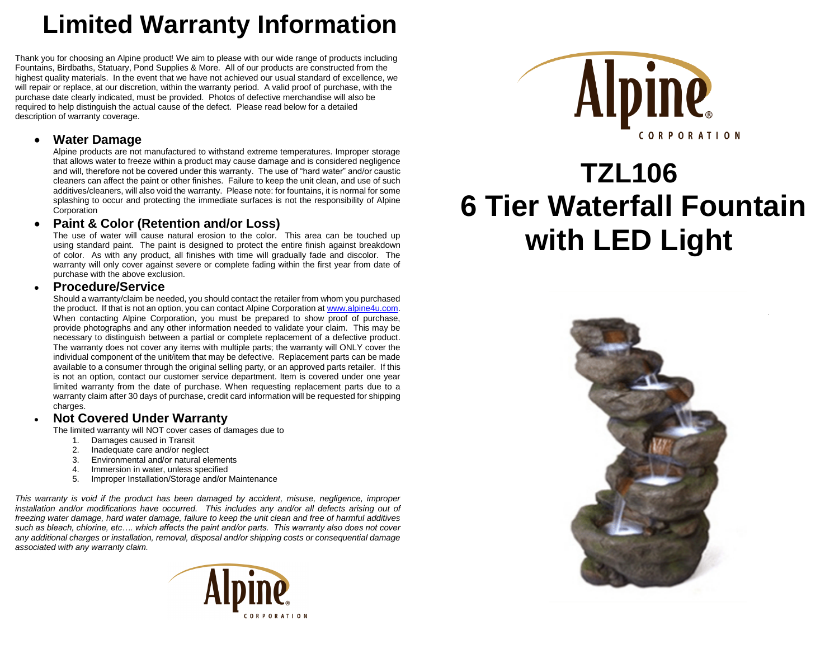# **Limited Warranty Information**

Thank you for choosing an Alpine product! We aim to please with our wide range of products including Fountains, Birdbaths, Statuary, Pond Supplies & More. All of our products are constructed from the highest quality materials. In the event that we have not achieved our usual standard of excellence, we will repair or replace, at our discretion, within the warranty period. A valid proof of purchase, with the purchase date clearly indicated, must be provided. Photos of defective merchandise will also be required to help distinguish the actual cause of the defect. Please read below for a detailed description of warranty coverage.

#### **Water Damage**

Alpine products are not manufactured to withstand extreme temperatures. Improper storage that allows water to freeze within a product may cause damage and is considered negligence and will, therefore not be covered under this warranty. The use of "hard water" and/or caustic cleaners can affect the paint or other finishes. Failure to keep the unit clean, and use of such additives/cleaners, will also void the warranty. Please note: for fountains, it is normal for some splashing to occur and protecting the immediate surfaces is not the responsibility of Alpine **Corporation** 

## **Paint & Color (Retention and/or Loss)**

The use of water will cause natural erosion to the color. This area can be touched up using standard paint. The paint is designed to protect the entire finish against breakdown of color. As with any product, all finishes with time will gradually fade and discolor. The warranty will only cover against severe or complete fading within the first year from date of purchase with the above exclusion.

#### **Procedure/Service**

Should a warranty/claim be needed, you should contact the retailer from whom you purchased the product. If that is not an option, you can contact Alpine Corporation a[t www.alpine4u.com.](http://www.alpine4u.com/) When contacting Alpine Corporation, you must be prepared to show proof of purchase, provide photographs and any other information needed to validate your claim. This may be necessary to distinguish between a partial or complete replacement of a defective product. The warranty does not cover any items with multiple parts; the warranty will ONLY cover the individual component of the unit/item that may be defective. Replacement parts can be made available to a consumer through the original selling party, or an approved parts retailer. If this is not an option, contact our customer service department. Item is covered under one year limited warranty from the date of purchase. When requesting replacement parts due to a warranty claim after 30 days of purchase, credit card information will be requested for shipping charges.

#### **Not Covered Under Warranty**

The limited warranty will NOT cover cases of damages due to

- 1. Damages caused in Transit
- 2. Inadequate care and/or neglect
- 3. Environmental and/or natural elements
- 4. Immersion in water, unless specified
- 5. Improper Installation/Storage and/or Maintenance

*This warranty is void if the product has been damaged by accident, misuse, negligence, improper installation and/or modifications have occurred. This includes any and/or all defects arising out of freezing water damage, hard water damage, failure to keep the unit clean and free of harmful additives such as bleach, chlorine, etc…. which affects the paint and/or parts. This warranty also does not cover any additional charges or installation, removal, disposal and/or shipping costs or consequential damage associated with any warranty claim.*





# **TZL106 6 Tier Waterfall Fountain with LED Light**